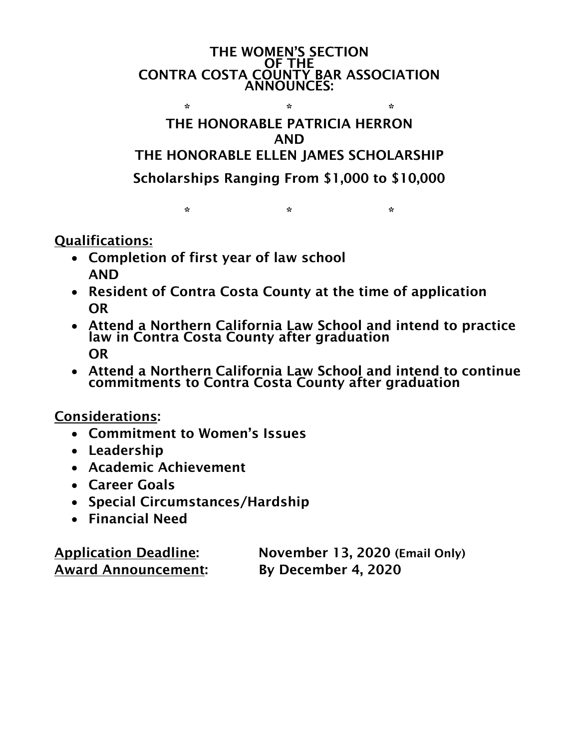THE WOMEN'S SECTION OF THE CONTRA COSTA COUNTY BAR ASSOCIATION ANNOUNCES:  $\mathbb{R}^n$  . The set of  $\mathbb{R}^n$  is the set of  $\mathbb{R}^n$ 

## THE HONORABLE PATRICIA HERRON AND THE HONORABLE ELLEN JAMES SCHOLARSHIP Scholarships Ranging From \$1,000 to \$10,000

 $\mathbb{R}^n$  . The set of  $\mathbb{R}^n$  is the set of  $\mathbb{R}^n$ 

Qualifications:

- Completion of first year of law school AND
- Resident of Contra Costa County at the time of application OR
- Attend a Northern California Law School and intend to practice law in Contra Costa County after graduation OR
- Attend a Northern California Law School and intend to continue commitments to Contra Costa County after graduation

Considerations:

- Commitment to Women's Issues
- Leadership
- Academic Achievement
- Career Goals
- Special Circumstances/Hardship
- Financial Need

Award Announcement: By December 4, 2020

Application Deadline: November 13, 2020 (Email Only)